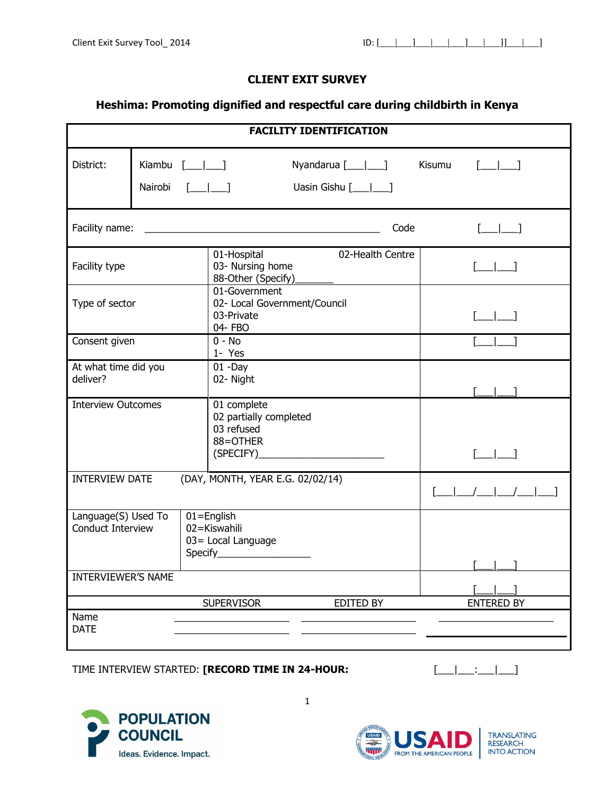## **CLIENT EXIT SURVEY**

## **Heshima: Promoting dignified and respectful care during childbirth in Kenya**

|                                                 |  |                                                                                       | <b>FACILITY IDENTIFICATION</b>                                                  |                     |                                                                                                                                                                                                                                                                                                                                                     |
|-------------------------------------------------|--|---------------------------------------------------------------------------------------|---------------------------------------------------------------------------------|---------------------|-----------------------------------------------------------------------------------------------------------------------------------------------------------------------------------------------------------------------------------------------------------------------------------------------------------------------------------------------------|
| District:                                       |  | Kiambu $[\underline{\qquad}]$<br>Nairobi [ <i>__ __</i> ]                             | Uasin Gishu $[\_\_\_\_\_\_\_\$                                                  | Nyandarua [___ ___] | Kisumu<br>$[\underline{\qquad}]$                                                                                                                                                                                                                                                                                                                    |
| Facility name:                                  |  |                                                                                       | <u> 1989 - Johann John Stone, mars an deus Amerikaansk kommunister (* 1958)</u> | Code                | $[$                                                                                                                                                                                                                                                                                                                                                 |
| Facility type                                   |  | 01-Hospital<br>03- Nursing home<br>88-Other (Specify)                                 |                                                                                 | 02-Health Centre    | $\sqrt{2}$                                                                                                                                                                                                                                                                                                                                          |
| Type of sector                                  |  | 01-Government<br>03-Private<br>04- FBO                                                | 02- Local Government/Council                                                    |                     | $[\_\_\_\_\_\]$                                                                                                                                                                                                                                                                                                                                     |
| Consent given                                   |  | $0 - No$<br>1- Yes                                                                    |                                                                                 |                     |                                                                                                                                                                                                                                                                                                                                                     |
| At what time did you<br>deliver?                |  | $01 - Day$<br>02- Night                                                               |                                                                                 |                     |                                                                                                                                                                                                                                                                                                                                                     |
| <b>Interview Outcomes</b>                       |  | 01 complete<br>02 partially completed<br>03 refused<br>88=OTHER                       |                                                                                 |                     | $\sqrt{1-\frac{1}{2}}$                                                                                                                                                                                                                                                                                                                              |
| <b>INTERVIEW DATE</b>                           |  | (DAY, MONTH, YEAR E.G. 02/02/14)                                                      |                                                                                 |                     | $\begin{picture}(20,10) \put(0,0){\line(1,0){10}} \put(15,0){\line(1,0){10}} \put(15,0){\line(1,0){10}} \put(15,0){\line(1,0){10}} \put(15,0){\line(1,0){10}} \put(15,0){\line(1,0){10}} \put(15,0){\line(1,0){10}} \put(15,0){\line(1,0){10}} \put(15,0){\line(1,0){10}} \put(15,0){\line(1,0){10}} \put(15,0){\line(1,0){10}} \put(15,0){\line(1$ |
| Language(S) Used To<br><b>Conduct Interview</b> |  | $01 =$ English<br>02=Kiswahili<br>03= Local Language<br>Specify______________________ |                                                                                 |                     |                                                                                                                                                                                                                                                                                                                                                     |
| INTERVIEWER'S NAME                              |  |                                                                                       |                                                                                 |                     |                                                                                                                                                                                                                                                                                                                                                     |
|                                                 |  | <b>SUPERVISOR</b>                                                                     |                                                                                 | EDITED BY           | <b>ENTERED BY</b>                                                                                                                                                                                                                                                                                                                                   |
| Name<br><b>DATE</b>                             |  |                                                                                       |                                                                                 |                     |                                                                                                                                                                                                                                                                                                                                                     |

## TIME INTERVIEW STARTED: **[RECORD TIME IN 24-HOUR:** [\_\_\_|\_\_\_:\_\_\_|\_\_\_]







1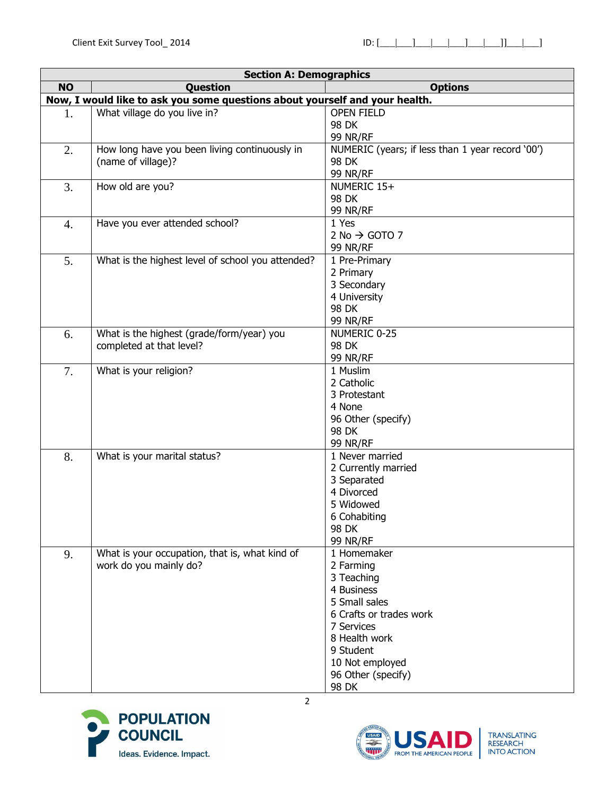|                  | <b>Section A: Demographics</b>                                              |                                                  |  |  |
|------------------|-----------------------------------------------------------------------------|--------------------------------------------------|--|--|
| <b>NO</b>        | Question                                                                    | <b>Options</b>                                   |  |  |
|                  | Now, I would like to ask you some questions about yourself and your health. |                                                  |  |  |
| 1.               | What village do you live in?                                                | <b>OPEN FIELD</b>                                |  |  |
|                  |                                                                             | 98 DK                                            |  |  |
|                  |                                                                             | 99 NR/RF                                         |  |  |
| 2.               | How long have you been living continuously in                               | NUMERIC (years; if less than 1 year record '00') |  |  |
|                  | (name of village)?                                                          | 98 DK                                            |  |  |
|                  |                                                                             | 99 NR/RF                                         |  |  |
| 3.               | How old are you?                                                            | NUMERIC 15+                                      |  |  |
|                  |                                                                             | 98 DK                                            |  |  |
|                  |                                                                             | <b>99 NR/RF</b>                                  |  |  |
| $\overline{4}$ . | Have you ever attended school?                                              | 1 Yes                                            |  |  |
|                  |                                                                             | 2 No $\rightarrow$ GOTO 7                        |  |  |
|                  |                                                                             | <b>99 NR/RF</b>                                  |  |  |
| 5.               | What is the highest level of school you attended?                           | 1 Pre-Primary                                    |  |  |
|                  |                                                                             | 2 Primary                                        |  |  |
|                  |                                                                             | 3 Secondary                                      |  |  |
|                  |                                                                             | 4 University                                     |  |  |
|                  |                                                                             | 98 DK                                            |  |  |
|                  |                                                                             | <b>99 NR/RF</b>                                  |  |  |
| 6.               | What is the highest (grade/form/year) you                                   | NUMERIC 0-25                                     |  |  |
|                  | completed at that level?                                                    | 98 DK                                            |  |  |
|                  |                                                                             | <b>99 NR/RF</b>                                  |  |  |
| 7.               | What is your religion?                                                      | 1 Muslim                                         |  |  |
|                  |                                                                             | 2 Catholic                                       |  |  |
|                  |                                                                             | 3 Protestant                                     |  |  |
|                  |                                                                             | 4 None                                           |  |  |
|                  |                                                                             | 96 Other (specify)                               |  |  |
|                  |                                                                             | 98 DK                                            |  |  |
|                  |                                                                             | <b>99 NR/RF</b>                                  |  |  |
| 8.               | What is your marital status?                                                | 1 Never married                                  |  |  |
|                  |                                                                             | 2 Currently married                              |  |  |
|                  |                                                                             | 3 Separated                                      |  |  |
|                  |                                                                             | 4 Divorced                                       |  |  |
|                  |                                                                             | 5 Widowed                                        |  |  |
|                  |                                                                             | 6 Cohabiting                                     |  |  |
|                  |                                                                             | 98 DK                                            |  |  |
|                  |                                                                             | <b>99 NR/RF</b>                                  |  |  |
| 9.               | What is your occupation, that is, what kind of                              | 1 Homemaker                                      |  |  |
|                  | work do you mainly do?                                                      | 2 Farming                                        |  |  |
|                  |                                                                             | 3 Teaching                                       |  |  |
|                  |                                                                             | 4 Business                                       |  |  |
|                  |                                                                             | 5 Small sales                                    |  |  |
|                  |                                                                             | 6 Crafts or trades work                          |  |  |
|                  |                                                                             | 7 Services                                       |  |  |
|                  |                                                                             | 8 Health work                                    |  |  |
|                  |                                                                             | 9 Student                                        |  |  |
|                  |                                                                             | 10 Not employed                                  |  |  |
|                  |                                                                             | 96 Other (specify)                               |  |  |
|                  |                                                                             | 98 DK                                            |  |  |



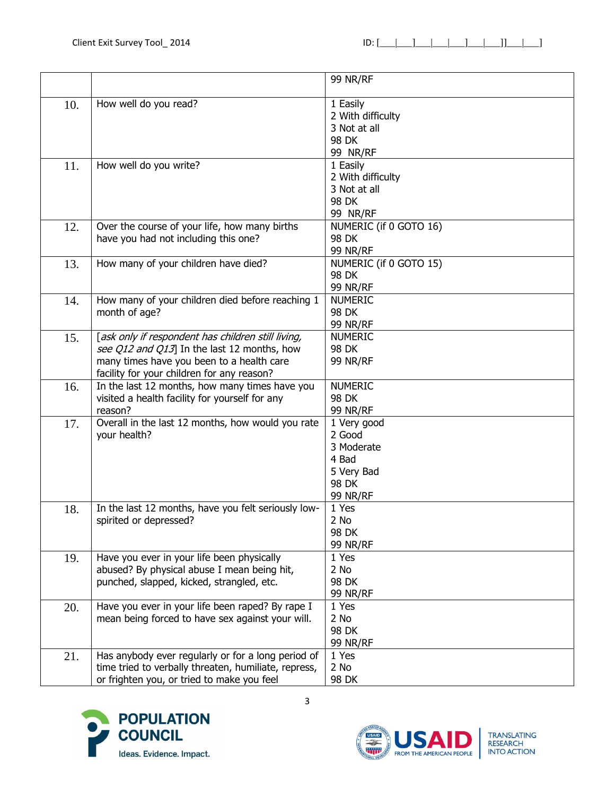|     |                                                      | <b>99 NR/RF</b>        |
|-----|------------------------------------------------------|------------------------|
|     |                                                      |                        |
| 10. | How well do you read?                                | 1 Easily               |
|     |                                                      | 2 With difficulty      |
|     |                                                      | 3 Not at all           |
|     |                                                      | 98 DK                  |
|     |                                                      | <b>99 NR/RF</b>        |
| 11. | How well do you write?                               | 1 Easily               |
|     |                                                      | 2 With difficulty      |
|     |                                                      | 3 Not at all           |
|     |                                                      | 98 DK                  |
|     |                                                      | 99 NR/RF               |
| 12. | Over the course of your life, how many births        | NUMERIC (if 0 GOTO 16) |
|     | have you had not including this one?                 | 98 DK                  |
|     |                                                      | 99 NR/RF               |
| 13. | How many of your children have died?                 | NUMERIC (if 0 GOTO 15) |
|     |                                                      | 98 DK                  |
|     |                                                      | <b>99 NR/RF</b>        |
| 14. | How many of your children died before reaching 1     | <b>NUMERIC</b>         |
|     | month of age?                                        | 98 DK                  |
|     |                                                      | 99 NR/RF               |
| 15. | [ask only if respondent has children still living,   | <b>NUMERIC</b>         |
|     | see Q12 and Q13] In the last 12 months, how          | 98 DK                  |
|     | many times have you been to a health care            | <b>99 NR/RF</b>        |
|     | facility for your children for any reason?           |                        |
| 16. | In the last 12 months, how many times have you       | <b>NUMERIC</b>         |
|     | visited a health facility for yourself for any       | 98 DK                  |
|     | reason?                                              | 99 NR/RF               |
| 17. | Overall in the last 12 months, how would you rate    | 1 Very good            |
|     | your health?                                         | 2 Good                 |
|     |                                                      | 3 Moderate             |
|     |                                                      | 4 Bad                  |
|     |                                                      | 5 Very Bad<br>98 DK    |
|     |                                                      | <b>99 NR/RF</b>        |
| 18. | In the last 12 months, have you felt seriously low-  | 1 Yes                  |
|     | spirited or depressed?                               | 2 No                   |
|     |                                                      | 98 DK                  |
|     |                                                      | 99 NR/RF               |
| 19. | Have you ever in your life been physically           | 1 Yes                  |
|     | abused? By physical abuse I mean being hit,          | 2 No                   |
|     | punched, slapped, kicked, strangled, etc.            | 98 DK                  |
|     |                                                      | 99 NR/RF               |
| 20. | Have you ever in your life been raped? By rape I     | 1 Yes                  |
|     | mean being forced to have sex against your will.     | 2 No                   |
|     |                                                      | 98 DK                  |
|     |                                                      | 99 NR/RF               |
| 21. | Has anybody ever regularly or for a long period of   | 1 Yes                  |
|     | time tried to verbally threaten, humiliate, repress, | 2 No                   |
|     | or frighten you, or tried to make you feel           | 98 DK                  |



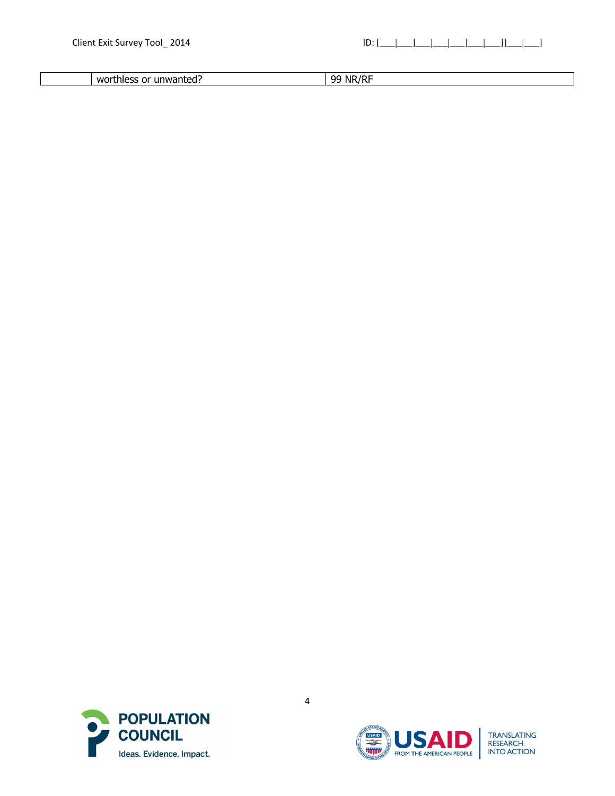| . . | <b>WC</b><br>116<br>ш | NR.<br>ററ |
|-----|-----------------------|-----------|



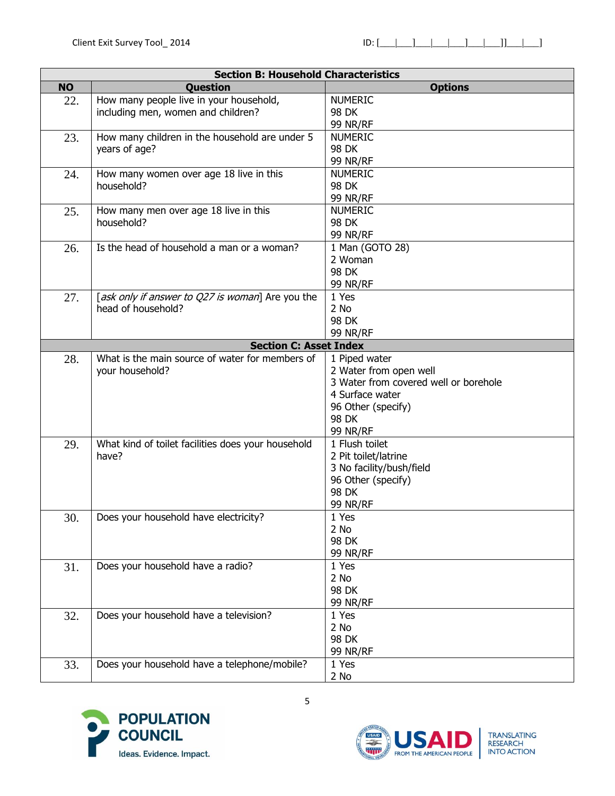|           | <b>Section B: Household Characteristics</b>        |                                       |  |  |
|-----------|----------------------------------------------------|---------------------------------------|--|--|
| <b>NO</b> | Question                                           | <b>Options</b>                        |  |  |
| 22.       | How many people live in your household,            | <b>NUMERIC</b>                        |  |  |
|           | including men, women and children?                 | 98 DK                                 |  |  |
|           |                                                    | <b>99 NR/RF</b>                       |  |  |
| 23.       | How many children in the household are under 5     | <b>NUMERIC</b>                        |  |  |
|           | years of age?                                      | 98 DK                                 |  |  |
|           |                                                    | <b>99 NR/RF</b>                       |  |  |
| 24.       | How many women over age 18 live in this            | <b>NUMERIC</b>                        |  |  |
|           | household?                                         | 98 DK                                 |  |  |
|           |                                                    | <b>99 NR/RF</b>                       |  |  |
| 25.       | How many men over age 18 live in this              | <b>NUMERIC</b>                        |  |  |
|           | household?                                         | 98 DK                                 |  |  |
|           |                                                    | 99 NR/RF                              |  |  |
| 26.       | Is the head of household a man or a woman?         | 1 Man (GOTO 28)                       |  |  |
|           |                                                    | 2 Woman                               |  |  |
|           |                                                    | 98 DK                                 |  |  |
|           |                                                    | <b>99 NR/RF</b>                       |  |  |
| 27.       | [ask only if answer to Q27 is woman] Are you the   | 1 Yes                                 |  |  |
|           | head of household?                                 | 2 No                                  |  |  |
|           |                                                    | 98 DK                                 |  |  |
|           |                                                    | 99 NR/RF                              |  |  |
|           | <b>Section C: Asset Index</b>                      |                                       |  |  |
| 28.       | What is the main source of water for members of    | 1 Piped water                         |  |  |
|           | your household?                                    | 2 Water from open well                |  |  |
|           |                                                    | 3 Water from covered well or borehole |  |  |
|           |                                                    | 4 Surface water                       |  |  |
|           |                                                    | 96 Other (specify)                    |  |  |
|           |                                                    | 98 DK                                 |  |  |
|           |                                                    | <b>99 NR/RF</b>                       |  |  |
| 29.       | What kind of toilet facilities does your household | 1 Flush toilet                        |  |  |
|           | have?                                              | 2 Pit toilet/latrine                  |  |  |
|           |                                                    | 3 No facility/bush/field              |  |  |
|           |                                                    | 96 Other (specify)                    |  |  |
|           |                                                    | 98 DK                                 |  |  |
|           |                                                    | <b>99 NR/RF</b>                       |  |  |
| 30.       | Does your household have electricity?              | 1 Yes                                 |  |  |
|           |                                                    | 2 No                                  |  |  |
|           |                                                    | 98 DK                                 |  |  |
|           |                                                    | 99 NR/RF                              |  |  |
| 31.       | Does your household have a radio?                  | 1 Yes                                 |  |  |
|           |                                                    | 2 No                                  |  |  |
|           |                                                    | 98 DK                                 |  |  |
|           |                                                    | 99 NR/RF                              |  |  |
| 32.       | Does your household have a television?             | 1 Yes                                 |  |  |
|           |                                                    | 2 No                                  |  |  |
|           |                                                    | 98 DK                                 |  |  |
|           |                                                    | 99 NR/RF                              |  |  |
| 33.       | Does your household have a telephone/mobile?       | 1 Yes                                 |  |  |
|           |                                                    | 2 No                                  |  |  |



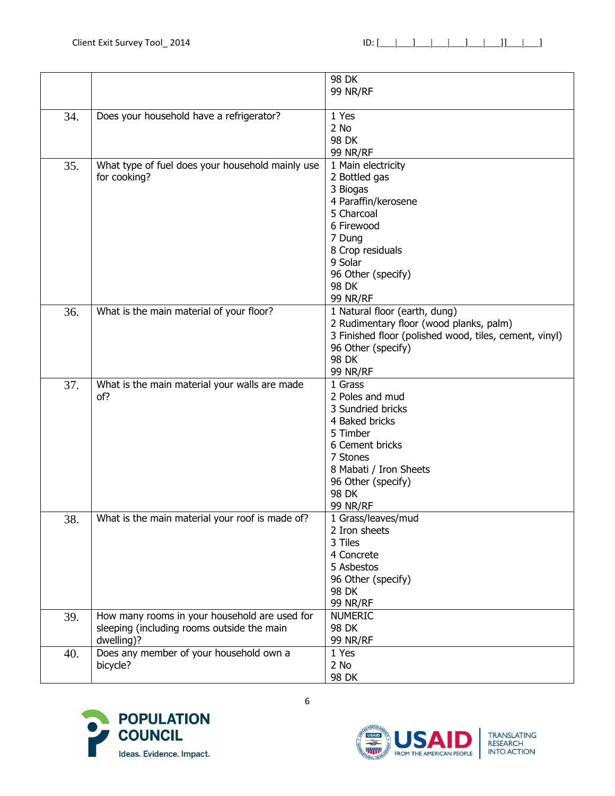|     |                                                  | 98 DK                                                  |
|-----|--------------------------------------------------|--------------------------------------------------------|
|     |                                                  | <b>99 NR/RF</b>                                        |
|     |                                                  |                                                        |
| 34. | Does your household have a refrigerator?         | 1 Yes                                                  |
|     |                                                  | 2 No                                                   |
|     |                                                  | 98 DK                                                  |
|     |                                                  | <b>99 NR/RF</b>                                        |
| 35. | What type of fuel does your household mainly use | 1 Main electricity                                     |
|     |                                                  |                                                        |
|     | for cooking?                                     | 2 Bottled gas                                          |
|     |                                                  | 3 Biogas                                               |
|     |                                                  | 4 Paraffin/kerosene                                    |
|     |                                                  | 5 Charcoal                                             |
|     |                                                  | 6 Firewood                                             |
|     |                                                  | 7 Dung                                                 |
|     |                                                  | 8 Crop residuals                                       |
|     |                                                  | 9 Solar                                                |
|     |                                                  | 96 Other (specify)                                     |
|     |                                                  | 98 DK                                                  |
|     |                                                  | <b>99 NR/RF</b>                                        |
| 36. | What is the main material of your floor?         | 1 Natural floor (earth, dung)                          |
|     |                                                  | 2 Rudimentary floor (wood planks, palm)                |
|     |                                                  | 3 Finished floor (polished wood, tiles, cement, vinyl) |
|     |                                                  | 96 Other (specify)                                     |
|     |                                                  | 98 DK                                                  |
|     |                                                  | <b>99 NR/RF</b>                                        |
| 37. | What is the main material your walls are made    | 1 Grass                                                |
|     | of?                                              | 2 Poles and mud                                        |
|     |                                                  | 3 Sundried bricks                                      |
|     |                                                  | 4 Baked bricks                                         |
|     |                                                  | 5 Timber                                               |
|     |                                                  | 6 Cement bricks                                        |
|     |                                                  | 7 Stones                                               |
|     |                                                  | 8 Mabati / Iron Sheets                                 |
|     |                                                  | 96 Other (specify)                                     |
|     |                                                  | 98 DK                                                  |
|     |                                                  | <b>99 NR/RF</b>                                        |
| 38. | What is the main material your roof is made of?  | 1 Grass/leaves/mud                                     |
|     |                                                  | 2 Iron sheets                                          |
|     |                                                  | 3 Tiles                                                |
|     |                                                  | 4 Concrete                                             |
|     |                                                  | 5 Asbestos                                             |
|     |                                                  | 96 Other (specify)                                     |
|     |                                                  | 98 DK                                                  |
|     |                                                  | 99 NR/RF                                               |
| 39. | How many rooms in your household are used for    | <b>NUMERIC</b>                                         |
|     | sleeping (including rooms outside the main       | 98 DK                                                  |
|     | dwelling)?                                       | 99 NR/RF                                               |
| 40. | Does any member of your household own a          | 1 Yes                                                  |
|     | bicycle?                                         | $2$ No                                                 |
|     |                                                  | 98 DK                                                  |



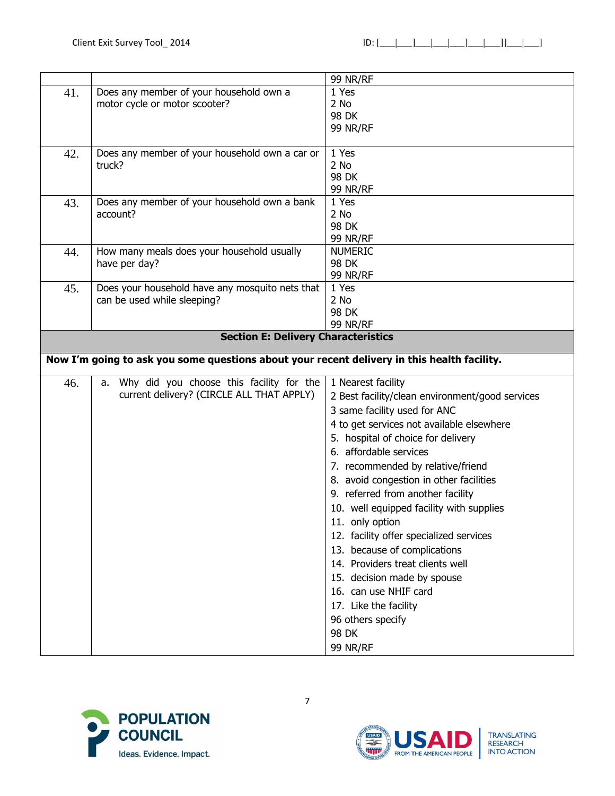|     |                                                                                             | 99 NR/RF                                        |
|-----|---------------------------------------------------------------------------------------------|-------------------------------------------------|
| 41. | Does any member of your household own a                                                     | 1 Yes                                           |
|     | motor cycle or motor scooter?                                                               | 2 No                                            |
|     |                                                                                             | 98 DK                                           |
|     |                                                                                             | <b>99 NR/RF</b>                                 |
|     |                                                                                             |                                                 |
| 42. | Does any member of your household own a car or                                              | 1 Yes                                           |
|     | truck?                                                                                      | 2 No                                            |
|     |                                                                                             | 98 DK                                           |
|     |                                                                                             | 99 NR/RF                                        |
| 43. | Does any member of your household own a bank                                                | 1 Yes                                           |
|     | account?                                                                                    | 2 No                                            |
|     |                                                                                             | 98 DK                                           |
|     |                                                                                             | 99 NR/RF                                        |
| 44. | How many meals does your household usually                                                  | <b>NUMERIC</b>                                  |
|     | have per day?                                                                               | 98 DK                                           |
|     |                                                                                             | 99 NR/RF                                        |
| 45. | Does your household have any mosquito nets that                                             | 1 Yes                                           |
|     | can be used while sleeping?                                                                 | 2 No                                            |
|     |                                                                                             | 98 DK                                           |
|     |                                                                                             | <b>99 NR/RF</b>                                 |
|     | <b>Section E: Delivery Characteristics</b>                                                  |                                                 |
|     | Now I'm going to ask you some questions about your recent delivery in this health facility. |                                                 |
|     |                                                                                             |                                                 |
| 46. | a. Why did you choose this facility for the<br>current delivery? (CIRCLE ALL THAT APPLY)    | 1 Nearest facility                              |
|     |                                                                                             | 2 Best facility/clean environment/good services |
|     |                                                                                             | 3 same facility used for ANC                    |
|     |                                                                                             | 4 to get services not available elsewhere       |
|     |                                                                                             | 5. hospital of choice for delivery              |
|     |                                                                                             | 6. affordable services                          |
|     |                                                                                             | 7. recommended by relative/friend               |
|     |                                                                                             | 8. avoid congestion in other facilities         |
|     |                                                                                             | 9. referred from another facility               |
|     |                                                                                             | 10. well equipped facility with supplies        |
|     |                                                                                             | 11. only option                                 |
|     |                                                                                             |                                                 |
|     |                                                                                             | 12. facility offer specialized services         |
|     |                                                                                             | 13. because of complications                    |
|     |                                                                                             | 14. Providers treat clients well                |
|     |                                                                                             | 15. decision made by spouse                     |
|     |                                                                                             | 16. can use NHIF card                           |
|     |                                                                                             | 17. Like the facility                           |
|     |                                                                                             | 96 others specify                               |
|     |                                                                                             | 98 DK                                           |
|     |                                                                                             |                                                 |
|     |                                                                                             | <b>99 NR/RF</b>                                 |



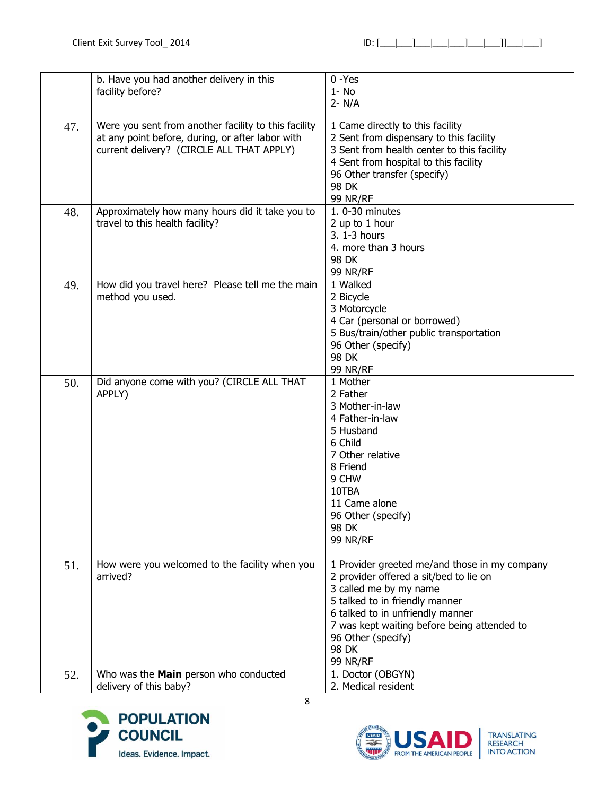|     | b. Have you had another delivery in this<br>facility before?                                                                                          | $0 - Yes$<br>$1 - No$<br>$2 - N/A$                                                                                                                                                                                                                                                       |
|-----|-------------------------------------------------------------------------------------------------------------------------------------------------------|------------------------------------------------------------------------------------------------------------------------------------------------------------------------------------------------------------------------------------------------------------------------------------------|
| 47. | Were you sent from another facility to this facility<br>at any point before, during, or after labor with<br>current delivery? (CIRCLE ALL THAT APPLY) | 1 Came directly to this facility<br>2 Sent from dispensary to this facility<br>3 Sent from health center to this facility<br>4 Sent from hospital to this facility<br>96 Other transfer (specify)<br><b>98 DK</b><br><b>99 NR/RF</b>                                                     |
| 48. | Approximately how many hours did it take you to<br>travel to this health facility?                                                                    | 1.0-30 minutes<br>2 up to 1 hour<br>3. 1-3 hours<br>4. more than 3 hours<br>98 DK<br><b>99 NR/RF</b>                                                                                                                                                                                     |
| 49. | How did you travel here? Please tell me the main<br>method you used.                                                                                  | 1 Walked<br>2 Bicycle<br>3 Motorcycle<br>4 Car (personal or borrowed)<br>5 Bus/train/other public transportation<br>96 Other (specify)<br>98 DK<br>99 NR/RF                                                                                                                              |
| 50. | Did anyone come with you? (CIRCLE ALL THAT<br>APPLY)                                                                                                  | 1 Mother<br>2 Father<br>3 Mother-in-law<br>4 Father-in-law<br>5 Husband<br>6 Child<br>7 Other relative<br>8 Friend<br>9 CHW<br>10TBA<br>11 Came alone<br>96 Other (specify)<br>98 DK<br><b>99 NR/RF</b>                                                                                  |
| 51. | How were you welcomed to the facility when you<br>arrived?                                                                                            | 1 Provider greeted me/and those in my company<br>2 provider offered a sit/bed to lie on<br>3 called me by my name<br>5 talked to in friendly manner<br>6 talked to in unfriendly manner<br>7 was kept waiting before being attended to<br>96 Other (specify)<br>98 DK<br><b>99 NR/RF</b> |
| 52. | Who was the Main person who conducted<br>delivery of this baby?                                                                                       | 1. Doctor (OBGYN)<br>2. Medical resident                                                                                                                                                                                                                                                 |



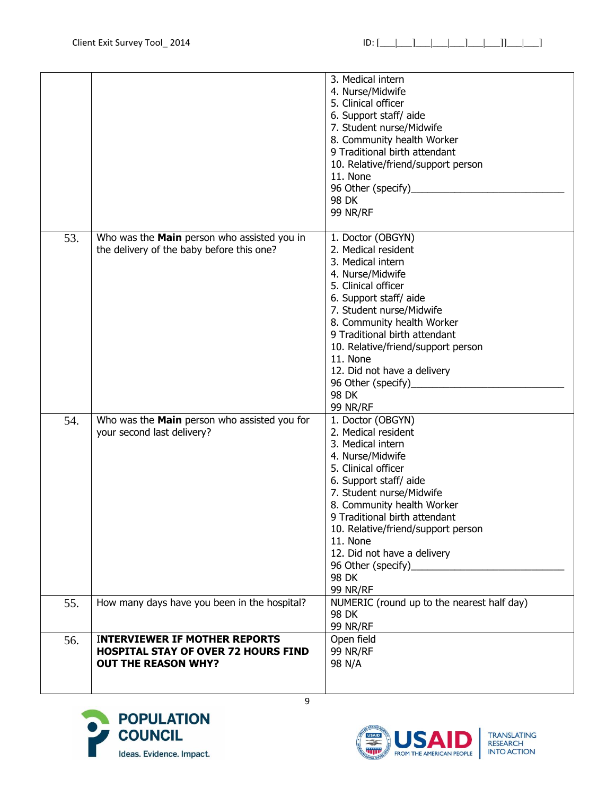|     |                                                                                                                  | 3. Medical intern<br>4. Nurse/Midwife<br>5. Clinical officer<br>6. Support staff/ aide<br>7. Student nurse/Midwife<br>8. Community health Worker<br>9 Traditional birth attendant<br>10. Relative/friend/support person<br>11. None<br>96 Other (specify)_<br>98 DK<br><b>99 NR/RF</b>                                                                            |
|-----|------------------------------------------------------------------------------------------------------------------|-------------------------------------------------------------------------------------------------------------------------------------------------------------------------------------------------------------------------------------------------------------------------------------------------------------------------------------------------------------------|
| 53. | Who was the Main person who assisted you in<br>the delivery of the baby before this one?                         | 1. Doctor (OBGYN)<br>2. Medical resident<br>3. Medical intern<br>4. Nurse/Midwife<br>5. Clinical officer<br>6. Support staff/ aide<br>7. Student nurse/Midwife<br>8. Community health Worker<br>9 Traditional birth attendant<br>10. Relative/friend/support person<br>11. None<br>12. Did not have a delivery<br>96 Other (specify)<br>98 DK<br><b>99 NR/RF</b>  |
| 54. | Who was the Main person who assisted you for<br>your second last delivery?                                       | 1. Doctor (OBGYN)<br>2. Medical resident<br>3. Medical intern<br>4. Nurse/Midwife<br>5. Clinical officer<br>6. Support staff/ aide<br>7. Student nurse/Midwife<br>8. Community health Worker<br>9 Traditional birth attendant<br>10. Relative/friend/support person<br>11. None<br>12. Did not have a delivery<br>96 Other (specify)_<br>98 DK<br><b>99 NR/RF</b> |
| 55. | How many days have you been in the hospital?                                                                     | NUMERIC (round up to the nearest half day)<br>98 DK<br><b>99 NR/RF</b>                                                                                                                                                                                                                                                                                            |
| 56. | <b>INTERVIEWER IF MOTHER REPORTS</b><br><b>HOSPITAL STAY OF OVER 72 HOURS FIND</b><br><b>OUT THE REASON WHY?</b> | Open field<br>99 NR/RF<br>98 N/A                                                                                                                                                                                                                                                                                                                                  |



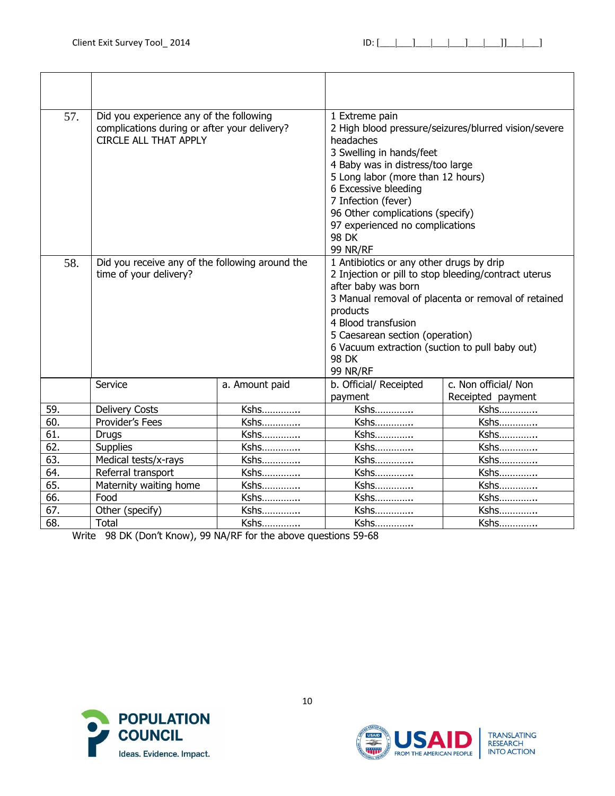| 57. | Did you experience any of the following<br>complications during or after your delivery?<br><b>CIRCLE ALL THAT APPLY</b> |                | 1 Extreme pain<br>headaches<br>3 Swelling in hands/feet<br>4 Baby was in distress/too large<br>5 Long labor (more than 12 hours)<br>6 Excessive bleeding<br>7 Infection (fever)<br>96 Other complications (specify)<br>97 experienced no complications<br><b>98 DK</b><br><b>99 NR/RF</b> | 2 High blood pressure/seizures/blurred vision/severe |
|-----|-------------------------------------------------------------------------------------------------------------------------|----------------|-------------------------------------------------------------------------------------------------------------------------------------------------------------------------------------------------------------------------------------------------------------------------------------------|------------------------------------------------------|
| 58. | Did you receive any of the following around the<br>time of your delivery?                                               |                | 1 Antibiotics or any other drugs by drip<br>2 Injection or pill to stop bleeding/contract uterus<br>after baby was born<br>products<br>4 Blood transfusion<br>5 Caesarean section (operation)<br>6 Vacuum extraction (suction to pull baby out)<br><b>98 DK</b><br><b>99 NR/RF</b>        | 3 Manual removal of placenta or removal of retained  |
|     | Service                                                                                                                 | a. Amount paid | b. Official/ Receipted<br>payment                                                                                                                                                                                                                                                         | c. Non official/ Non<br>Receipted payment            |
| 59. | <b>Delivery Costs</b>                                                                                                   | Kshs           | Kshs                                                                                                                                                                                                                                                                                      | Kshs                                                 |
| 60. | Provider's Fees                                                                                                         | Kshs           | Kshs                                                                                                                                                                                                                                                                                      | Kshs                                                 |
| 61. | <b>Drugs</b>                                                                                                            | Kshs           | Kshs                                                                                                                                                                                                                                                                                      | Kshs                                                 |
| 62. | <b>Supplies</b>                                                                                                         | Kshs           | Kshs                                                                                                                                                                                                                                                                                      | Kshs                                                 |
| 63. | Medical tests/x-rays                                                                                                    | Kshs           | Kshs                                                                                                                                                                                                                                                                                      | Kshs                                                 |
| 64. | Referral transport                                                                                                      | Kshs           | Kshs                                                                                                                                                                                                                                                                                      | Kshs                                                 |
| 65. | Maternity waiting home                                                                                                  | Kshs           | Kshs                                                                                                                                                                                                                                                                                      | Kshs                                                 |
| 66. | Food                                                                                                                    | Kshs           | Kshs                                                                                                                                                                                                                                                                                      | Kshs                                                 |
| 67. | Other (specify)                                                                                                         | Kshs           | Kshs                                                                                                                                                                                                                                                                                      | Kshs                                                 |
| 68. | Total                                                                                                                   | Kshs           | Kshs                                                                                                                                                                                                                                                                                      | Kshs                                                 |

Write 98 DK (Don't Know), 99 NA/RF for the above questions 59-68

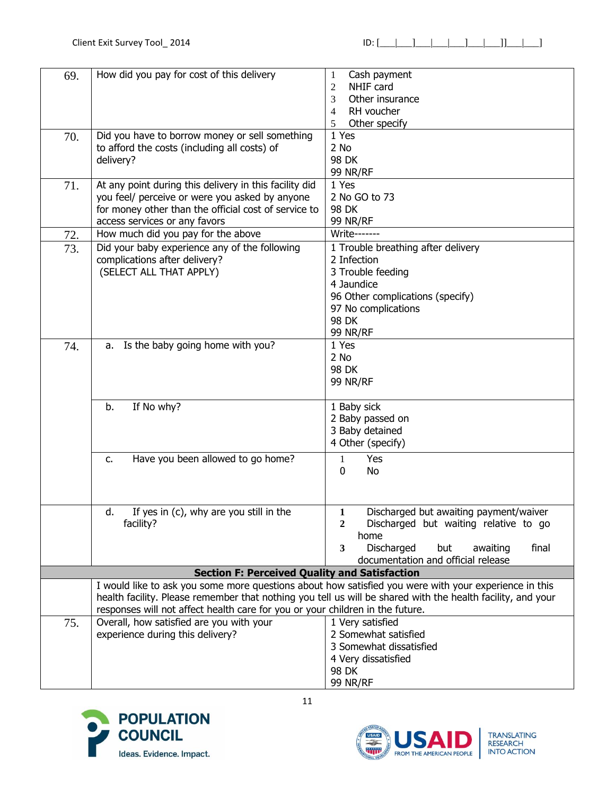| 69. | How did you pay for cost of this delivery                                     | Cash payment<br>1                                                                                           |
|-----|-------------------------------------------------------------------------------|-------------------------------------------------------------------------------------------------------------|
|     |                                                                               | $\overline{2}$<br>NHIF card                                                                                 |
|     |                                                                               | 3<br>Other insurance                                                                                        |
|     |                                                                               | RH voucher<br>4                                                                                             |
|     |                                                                               | Other specify<br>5                                                                                          |
| 70. | Did you have to borrow money or sell something                                | 1 Yes                                                                                                       |
|     | to afford the costs (including all costs) of                                  | 2 No                                                                                                        |
|     | delivery?                                                                     | 98 DK                                                                                                       |
|     |                                                                               | <b>99 NR/RF</b>                                                                                             |
| 71. | At any point during this delivery in this facility did                        | 1 Yes                                                                                                       |
|     | you feel/ perceive or were you asked by anyone                                | 2 No GO to 73                                                                                               |
|     | for money other than the official cost of service to                          | 98 DK                                                                                                       |
|     | access services or any favors                                                 | <b>99 NR/RF</b>                                                                                             |
| 72. | How much did you pay for the above                                            | <b>Write-------</b>                                                                                         |
| 73. | Did your baby experience any of the following                                 | 1 Trouble breathing after delivery                                                                          |
|     | complications after delivery?                                                 | 2 Infection                                                                                                 |
|     | (SELECT ALL THAT APPLY)                                                       | 3 Trouble feeding                                                                                           |
|     |                                                                               | 4 Jaundice                                                                                                  |
|     |                                                                               | 96 Other complications (specify)                                                                            |
|     |                                                                               | 97 No complications                                                                                         |
|     |                                                                               | 98 DK                                                                                                       |
|     |                                                                               | <b>99 NR/RF</b>                                                                                             |
| 74. | a. Is the baby going home with you?                                           | 1 Yes                                                                                                       |
|     |                                                                               | 2 No                                                                                                        |
|     |                                                                               | 98 DK                                                                                                       |
|     |                                                                               | <b>99 NR/RF</b>                                                                                             |
|     |                                                                               |                                                                                                             |
|     | b.<br>If No why?                                                              | 1 Baby sick                                                                                                 |
|     |                                                                               | 2 Baby passed on                                                                                            |
|     |                                                                               | 3 Baby detained                                                                                             |
|     |                                                                               | 4 Other (specify)                                                                                           |
|     |                                                                               |                                                                                                             |
|     | Have you been allowed to go home?<br>$C_{\bullet}$                            | Yes<br>1                                                                                                    |
|     |                                                                               | No<br>0                                                                                                     |
|     |                                                                               |                                                                                                             |
|     |                                                                               |                                                                                                             |
|     | If yes in (c), why are you still in the<br>d.                                 | Discharged but awaiting payment/waiver<br>1                                                                 |
|     | facility?                                                                     | Discharged but waiting relative to go<br>$\overline{2}$                                                     |
|     |                                                                               | home                                                                                                        |
|     |                                                                               | Discharged<br>3<br>final<br>but<br>awaiting                                                                 |
|     |                                                                               | documentation and official release                                                                          |
|     | <b>Section F: Perceived Quality and Satisfaction</b>                          |                                                                                                             |
|     |                                                                               | I would like to ask you some more questions about how satisfied you were with your experience in this       |
|     |                                                                               | health facility. Please remember that nothing you tell us will be shared with the health facility, and your |
|     | responses will not affect health care for you or your children in the future. |                                                                                                             |
| 75. | Overall, how satisfied are you with your                                      | 1 Very satisfied                                                                                            |
|     | experience during this delivery?                                              | 2 Somewhat satisfied                                                                                        |
|     |                                                                               | 3 Somewhat dissatisfied                                                                                     |
|     |                                                                               | 4 Very dissatisfied                                                                                         |
|     |                                                                               | 98 DK                                                                                                       |
|     |                                                                               | <b>99 NR/RF</b>                                                                                             |



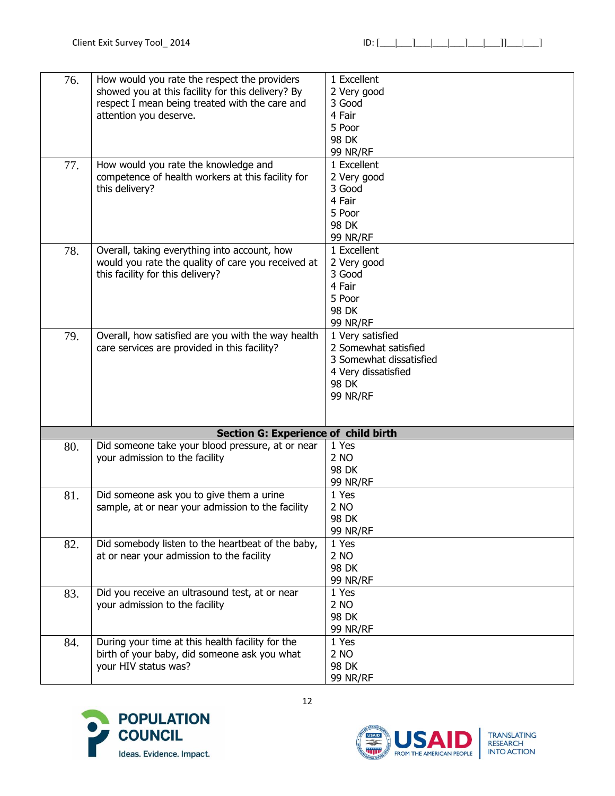| 76. | How would you rate the respect the providers       | 1 Excellent             |
|-----|----------------------------------------------------|-------------------------|
|     | showed you at this facility for this delivery? By  | 2 Very good             |
|     | respect I mean being treated with the care and     | 3 Good                  |
|     | attention you deserve.                             | 4 Fair                  |
|     |                                                    | 5 Poor                  |
|     |                                                    | 98 DK                   |
|     |                                                    | <b>99 NR/RF</b>         |
| 77. | How would you rate the knowledge and               | 1 Excellent             |
|     | competence of health workers at this facility for  | 2 Very good             |
|     | this delivery?                                     | 3 Good                  |
|     |                                                    | 4 Fair                  |
|     |                                                    | 5 Poor                  |
|     |                                                    | 98 DK                   |
|     |                                                    | <b>99 NR/RF</b>         |
| 78. | Overall, taking everything into account, how       | 1 Excellent             |
|     | would you rate the quality of care you received at | 2 Very good             |
|     | this facility for this delivery?                   | 3 Good                  |
|     |                                                    | 4 Fair                  |
|     |                                                    | 5 Poor                  |
|     |                                                    | 98 DK                   |
|     |                                                    |                         |
|     |                                                    | 99 NR/RF                |
| 79. | Overall, how satisfied are you with the way health | 1 Very satisfied        |
|     | care services are provided in this facility?       | 2 Somewhat satisfied    |
|     |                                                    | 3 Somewhat dissatisfied |
|     |                                                    | 4 Very dissatisfied     |
|     |                                                    | 98 DK                   |
|     |                                                    | <b>99 NR/RF</b>         |
|     |                                                    |                         |
|     | <b>Section G: Experience of child birth</b>        |                         |
| 80. | Did someone take your blood pressure, at or near   | 1 Yes                   |
|     |                                                    | 2 NO                    |
|     | your admission to the facility                     | 98 DK                   |
|     |                                                    | <b>99 NR/RF</b>         |
|     | Did someone ask you to give them a urine           | 1 Yes                   |
| 81. |                                                    | 2 NO                    |
|     | sample, at or near your admission to the facility  |                         |
|     |                                                    | 98 DK                   |
|     |                                                    | 99 NR/RF                |
| 82. | Did somebody listen to the heartbeat of the baby,  | 1 Yes                   |
|     | at or near your admission to the facility          | 2 NO                    |
|     |                                                    | 98 DK                   |
|     |                                                    | 99 NR/RF                |
| 83. | Did you receive an ultrasound test, at or near     | 1 Yes                   |
|     | your admission to the facility                     | 2 NO                    |
|     |                                                    | 98 DK                   |
|     |                                                    | 99 NR/RF                |
| 84. | During your time at this health facility for the   | 1 Yes                   |
|     | birth of your baby, did someone ask you what       | 2 NO                    |
|     |                                                    |                         |
|     | your HIV status was?                               | 98 DK                   |



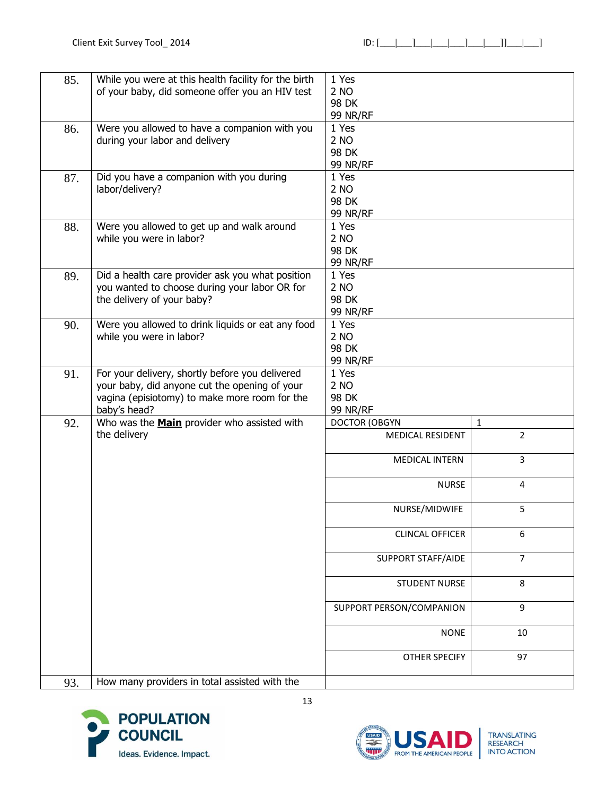| 85. | While you were at this health facility for the birth<br>of your baby, did someone offer you an HIV test                                                           | 1 Yes<br>2 NO<br>98 DK<br>99 NR/RF        |                  |
|-----|-------------------------------------------------------------------------------------------------------------------------------------------------------------------|-------------------------------------------|------------------|
| 86. | Were you allowed to have a companion with you<br>during your labor and delivery                                                                                   | 1 Yes<br>2 NO<br>98 DK<br>99 NR/RF        |                  |
| 87. | Did you have a companion with you during<br>labor/delivery?                                                                                                       | 1 Yes<br>2 NO<br>98 DK<br>99 NR/RF        |                  |
| 88. | Were you allowed to get up and walk around<br>while you were in labor?                                                                                            | 1 Yes<br>2 NO<br>98 DK<br>99 NR/RF        |                  |
| 89. | Did a health care provider ask you what position<br>you wanted to choose during your labor OR for<br>the delivery of your baby?                                   | 1 Yes<br>2 NO<br>98 DK<br>99 NR/RF        |                  |
| 90. | Were you allowed to drink liquids or eat any food<br>while you were in labor?                                                                                     | 1 Yes<br>2 NO<br>98 DK<br><b>99 NR/RF</b> |                  |
| 91. | For your delivery, shortly before you delivered<br>your baby, did anyone cut the opening of your<br>vagina (episiotomy) to make more room for the<br>baby's head? | 1 Yes<br>2 NO<br>98 DK<br><b>99 NR/RF</b> |                  |
| 92. | Who was the <b>Main</b> provider who assisted with                                                                                                                | <b>DOCTOR (OBGYN</b>                      | $\mathbf{1}$     |
|     | the delivery                                                                                                                                                      | MEDICAL RESIDENT                          | $\overline{2}$   |
|     |                                                                                                                                                                   | <b>MEDICAL INTERN</b>                     | 3                |
|     |                                                                                                                                                                   | <b>NURSE</b>                              | 4                |
|     |                                                                                                                                                                   | NURSE/MIDWIFE                             | 5                |
|     |                                                                                                                                                                   | <b>CLINCAL OFFICER</b>                    | 6                |
|     |                                                                                                                                                                   | <b>SUPPORT STAFF/AIDE</b>                 | $\overline{7}$   |
|     |                                                                                                                                                                   | <b>STUDENT NURSE</b>                      | 8                |
|     |                                                                                                                                                                   | SUPPORT PERSON/COMPANION                  | $\boldsymbol{9}$ |
|     |                                                                                                                                                                   | <b>NONE</b>                               | 10               |
|     |                                                                                                                                                                   | OTHER SPECIFY                             | 97               |
| 93. | How many providers in total assisted with the                                                                                                                     |                                           |                  |

13



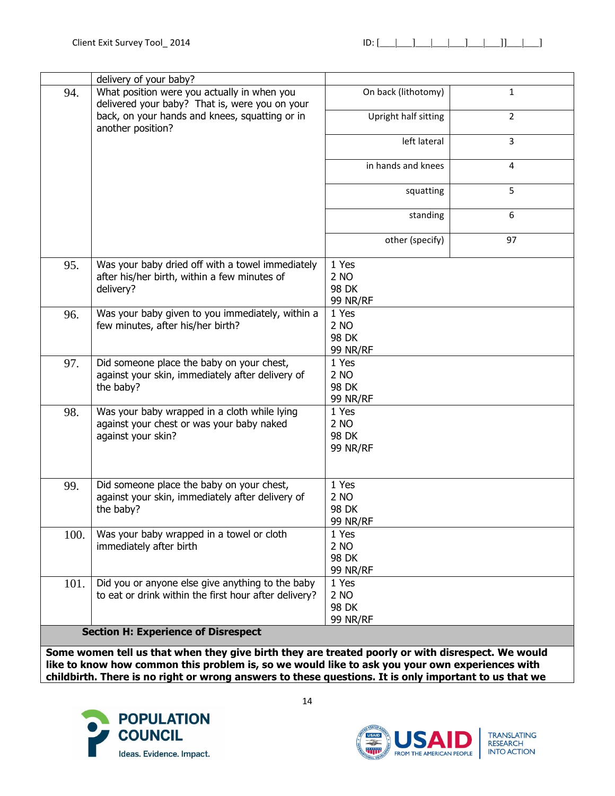|      | delivery of your baby?                                                                                          |                                           |                |
|------|-----------------------------------------------------------------------------------------------------------------|-------------------------------------------|----------------|
| 94.  | What position were you actually in when you<br>delivered your baby? That is, were you on your                   | On back (lithotomy)                       | $\mathbf{1}$   |
|      | back, on your hands and knees, squatting or in<br>another position?                                             | Upright half sitting                      | $\overline{2}$ |
|      |                                                                                                                 | left lateral                              | 3              |
|      |                                                                                                                 | in hands and knees                        | 4              |
|      |                                                                                                                 | squatting                                 | 5              |
|      |                                                                                                                 | standing                                  | 6              |
|      |                                                                                                                 | other (specify)                           | 97             |
| 95.  | Was your baby dried off with a towel immediately<br>after his/her birth, within a few minutes of<br>delivery?   | 1 Yes<br>2 NO<br>98 DK<br><b>99 NR/RF</b> |                |
| 96.  | Was your baby given to you immediately, within a<br>few minutes, after his/her birth?                           | 1 Yes<br>2 NO<br>98 DK<br><b>99 NR/RF</b> |                |
| 97.  | Did someone place the baby on your chest,<br>against your skin, immediately after delivery of<br>the baby?      | 1 Yes<br>2 NO<br>98 DK<br><b>99 NR/RF</b> |                |
| 98.  | Was your baby wrapped in a cloth while lying<br>against your chest or was your baby naked<br>against your skin? | 1 Yes<br>2 NO<br>98 DK<br><b>99 NR/RF</b> |                |
| 99.  | Did someone place the baby on your chest,<br>against your skin, immediately after delivery of<br>the baby?      | 1 Yes<br>2 NO<br>98 DK<br>99 NR/RF        |                |
| 100. | Was your baby wrapped in a towel or cloth<br>immediately after birth                                            | 1 Yes<br>2 NO<br>98 DK<br><b>99 NR/RF</b> |                |
| 101. | Did you or anyone else give anything to the baby<br>to eat or drink within the first hour after delivery?       | 1 Yes<br>2 NO<br>98 DK<br><b>99 NR/RF</b> |                |
|      | <b>Section H: Experience of Disrespect</b>                                                                      |                                           |                |

**Some women tell us that when they give birth they are treated poorly or with disrespect. We would like to know how common this problem is, so we would like to ask you your own experiences with childbirth. There is no right or wrong answers to these questions. It is only important to us that we** 



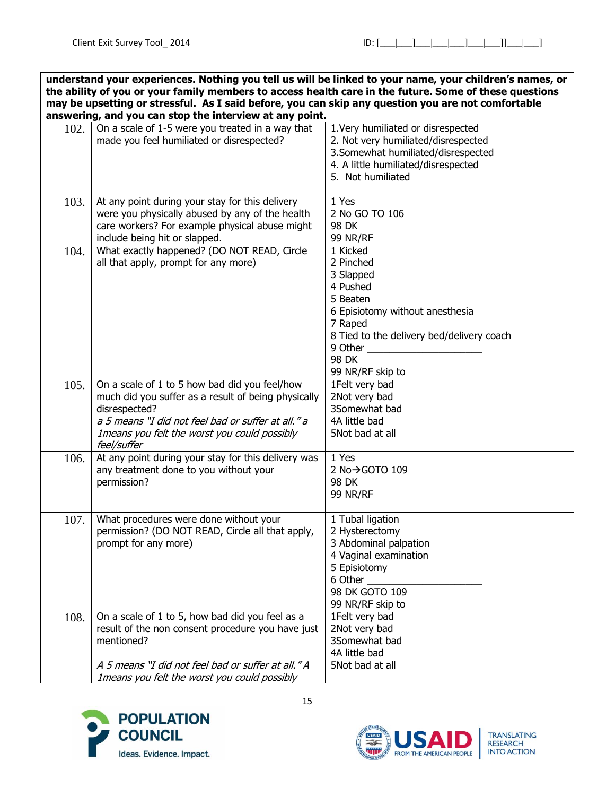**understand your experiences. Nothing you tell us will be linked to your name, your children's names, or the ability of you or your family members to access health care in the future. Some of these questions may be upsetting or stressful. As I said before, you can skip any question you are not comfortable answering, and you can stop the interview at any point.**

|      | answering, and you can stop the interview at any point.                                                                                                                                                                                    |                                                                                                                                                                                               |
|------|--------------------------------------------------------------------------------------------------------------------------------------------------------------------------------------------------------------------------------------------|-----------------------------------------------------------------------------------------------------------------------------------------------------------------------------------------------|
| 102. | On a scale of 1-5 were you treated in a way that<br>made you feel humiliated or disrespected?                                                                                                                                              | 1. Very humiliated or disrespected<br>2. Not very humiliated/disrespected<br>3. Somewhat humiliated/disrespected<br>4. A little humiliated/disrespected<br>5. Not humiliated                  |
| 103. | At any point during your stay for this delivery<br>were you physically abused by any of the health<br>care workers? For example physical abuse might<br>include being hit or slapped.                                                      | 1 Yes<br>2 No GO TO 106<br>98 DK<br><b>99 NR/RF</b>                                                                                                                                           |
| 104. | What exactly happened? (DO NOT READ, Circle<br>all that apply, prompt for any more)                                                                                                                                                        | 1 Kicked<br>2 Pinched<br>3 Slapped<br>4 Pushed<br>5 Beaten<br>6 Episiotomy without anesthesia<br>7 Raped<br>8 Tied to the delivery bed/delivery coach<br>9 Other<br>98 DK<br>99 NR/RF skip to |
| 105. | On a scale of 1 to 5 how bad did you feel/how<br>much did you suffer as a result of being physically<br>disrespected?<br>a 5 means "I did not feel bad or suffer at all." a<br>Imeans you felt the worst you could possibly<br>feel/suffer | 1Felt very bad<br>2Not very bad<br>3Somewhat bad<br>4A little bad<br>5Not bad at all                                                                                                          |
| 106. | At any point during your stay for this delivery was<br>any treatment done to you without your<br>permission?                                                                                                                               | 1 Yes<br>2 No→GOTO 109<br>98 DK<br><b>99 NR/RF</b>                                                                                                                                            |
| 107. | What procedures were done without your<br>permission? (DO NOT READ, Circle all that apply,<br>prompt for any more)                                                                                                                         | 1 Tubal ligation<br>2 Hysterectomy<br>3 Abdominal palpation<br>4 Vaginal examination<br>5 Episiotomy<br>6 Other<br>98 DK GOTO 109<br>99 NR/RF skip to                                         |
| 108. | On a scale of 1 to 5, how bad did you feel as a<br>result of the non consent procedure you have just<br>mentioned?<br>A 5 means "I did not feel bad or suffer at all." A<br>Imeans you felt the worst you could possibly                   | 1Felt very bad<br>2Not very bad<br>3Somewhat bad<br>4A little bad<br>5Not bad at all                                                                                                          |



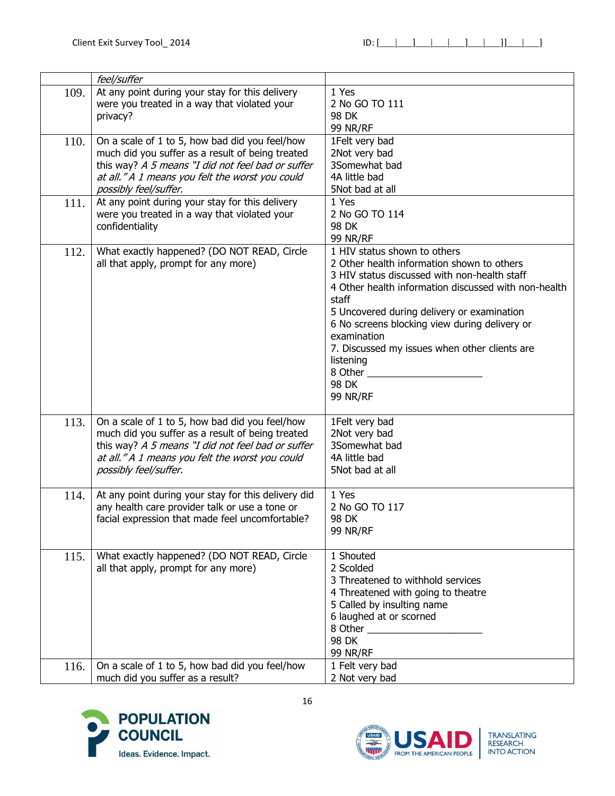|      | feel/suffer                                                                                                                                                                                                                         |                                                                                                                                                                                                                                                                                                                                                                                                                |
|------|-------------------------------------------------------------------------------------------------------------------------------------------------------------------------------------------------------------------------------------|----------------------------------------------------------------------------------------------------------------------------------------------------------------------------------------------------------------------------------------------------------------------------------------------------------------------------------------------------------------------------------------------------------------|
| 109. | At any point during your stay for this delivery<br>were you treated in a way that violated your<br>privacy?                                                                                                                         | 1 Yes<br>2 No GO TO 111<br>98 DK<br>99 NR/RF                                                                                                                                                                                                                                                                                                                                                                   |
| 110. | On a scale of 1 to 5, how bad did you feel/how<br>much did you suffer as a result of being treated<br>this way? A 5 means "I did not feel bad or suffer<br>at all." A 1 means you felt the worst you could<br>possibly feel/suffer. | 1Felt very bad<br>2Not very bad<br>3Somewhat bad<br>4A little bad<br>5Not bad at all                                                                                                                                                                                                                                                                                                                           |
| 111. | At any point during your stay for this delivery<br>were you treated in a way that violated your<br>confidentiality                                                                                                                  | 1 Yes<br>2 No GO TO 114<br>98 DK<br><b>99 NR/RF</b>                                                                                                                                                                                                                                                                                                                                                            |
| 112. | What exactly happened? (DO NOT READ, Circle<br>all that apply, prompt for any more)                                                                                                                                                 | 1 HIV status shown to others<br>2 Other health information shown to others<br>3 HIV status discussed with non-health staff<br>4 Other health information discussed with non-health<br>staff<br>5 Uncovered during delivery or examination<br>6 No screens blocking view during delivery or<br>examination<br>7. Discussed my issues when other clients are<br>listening<br>8 Other<br>98 DK<br><b>99 NR/RF</b> |
| 113. | On a scale of 1 to 5, how bad did you feel/how<br>much did you suffer as a result of being treated<br>this way? A 5 means "I did not feel bad or suffer<br>at all." A 1 means you felt the worst you could<br>possibly feel/suffer. | 1Felt very bad<br>2Not very bad<br>3Somewhat bad<br>4A little bad<br>5Not bad at all                                                                                                                                                                                                                                                                                                                           |
| 114. | At any point during your stay for this delivery did<br>any health care provider talk or use a tone or<br>facial expression that made feel uncomfortable?                                                                            | 1 Yes<br>2 No GO TO 117<br>98 DK<br><b>99 NR/RF</b>                                                                                                                                                                                                                                                                                                                                                            |
| 115. | What exactly happened? (DO NOT READ, Circle<br>all that apply, prompt for any more)                                                                                                                                                 | 1 Shouted<br>2 Scolded<br>3 Threatened to withhold services<br>4 Threatened with going to theatre<br>5 Called by insulting name<br>6 laughed at or scorned<br>98 DK<br><b>99 NR/RF</b>                                                                                                                                                                                                                         |
| 116. | On a scale of 1 to 5, how bad did you feel/how<br>much did you suffer as a result?                                                                                                                                                  | 1 Felt very bad<br>2 Not very bad                                                                                                                                                                                                                                                                                                                                                                              |



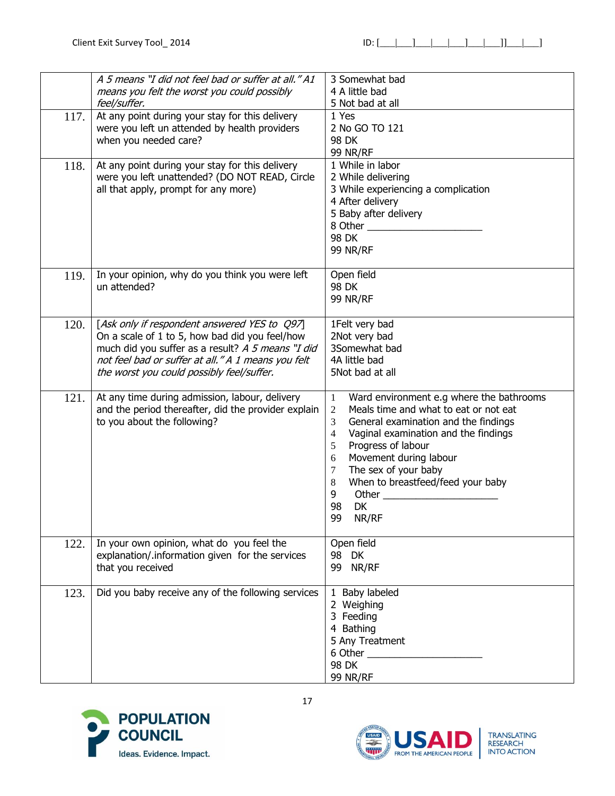|      | A 5 means "I did not feel bad or suffer at all." A1<br>means you felt the worst you could possibly<br>feel/suffer.                                                                                                                                     | 3 Somewhat bad<br>4 A little bad<br>5 Not bad at all                                                                                                                                                                                                                                                                                                                                             |
|------|--------------------------------------------------------------------------------------------------------------------------------------------------------------------------------------------------------------------------------------------------------|--------------------------------------------------------------------------------------------------------------------------------------------------------------------------------------------------------------------------------------------------------------------------------------------------------------------------------------------------------------------------------------------------|
| 117. | At any point during your stay for this delivery<br>were you left un attended by health providers<br>when you needed care?                                                                                                                              | 1 Yes<br>2 No GO TO 121<br>98 DK<br><b>99 NR/RF</b>                                                                                                                                                                                                                                                                                                                                              |
| 118. | At any point during your stay for this delivery<br>were you left unattended? (DO NOT READ, Circle<br>all that apply, prompt for any more)                                                                                                              | 1 While in labor<br>2 While delivering<br>3 While experiencing a complication<br>4 After delivery<br>5 Baby after delivery<br>98 DK<br><b>99 NR/RF</b>                                                                                                                                                                                                                                           |
| 119. | In your opinion, why do you think you were left<br>un attended?                                                                                                                                                                                        | Open field<br>98 DK<br><b>99 NR/RF</b>                                                                                                                                                                                                                                                                                                                                                           |
| 120. | [Ask only if respondent answered YES to Q97]<br>On a scale of 1 to 5, how bad did you feel/how<br>much did you suffer as a result? A 5 means "I did<br>not feel bad or suffer at all." A 1 means you felt<br>the worst you could possibly feel/suffer. | 1Felt very bad<br>2Not very bad<br>3Somewhat bad<br>4A little bad<br>5Not bad at all                                                                                                                                                                                                                                                                                                             |
| 121. | At any time during admission, labour, delivery<br>and the period thereafter, did the provider explain<br>to you about the following?                                                                                                                   | Ward environment e.g where the bathrooms<br>1<br>Meals time and what to eat or not eat<br>2<br>General examination and the findings<br>3<br>Vaginal examination and the findings<br>$\overline{4}$<br>Progress of labour<br>5<br>Movement during labour<br>6<br>The sex of your baby<br>7<br>When to breastfeed/feed your baby<br>$8\phantom{1}$<br>9<br>Other $\_\_$<br>98<br>DK<br>99<br>NR/RF |
| 122. | In your own opinion, what do you feel the<br>explanation/.information given for the services<br>that you received                                                                                                                                      | Open field<br>98 DK<br>99 NR/RF                                                                                                                                                                                                                                                                                                                                                                  |
| 123. | Did you baby receive any of the following services                                                                                                                                                                                                     | 1 Baby labeled<br>2 Weighing<br>3 Feeding<br>4 Bathing<br>5 Any Treatment<br>98 DK<br><b>99 NR/RF</b>                                                                                                                                                                                                                                                                                            |



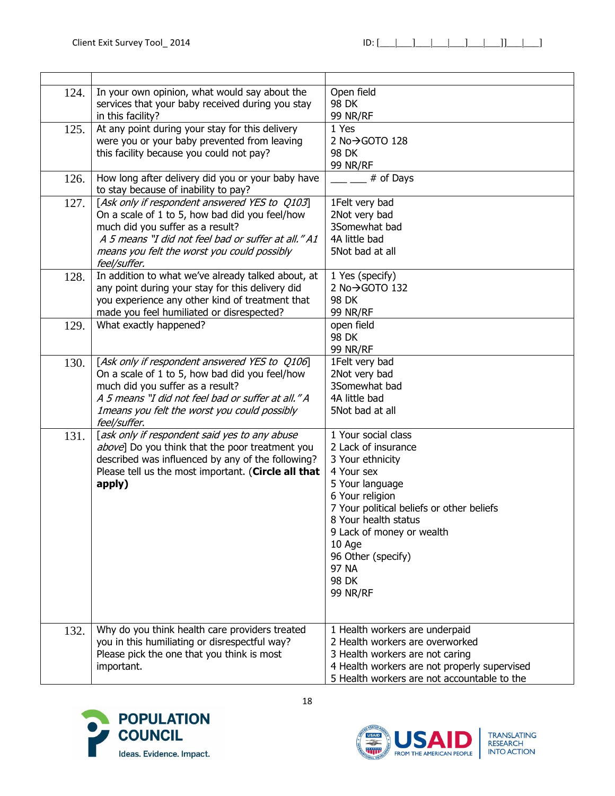| 124. | In your own opinion, what would say about the       | Open field                                   |
|------|-----------------------------------------------------|----------------------------------------------|
|      | services that your baby received during you stay    | 98 DK                                        |
|      | in this facility?                                   | <b>99 NR/RF</b>                              |
| 125. | At any point during your stay for this delivery     | 1 Yes                                        |
|      | were you or your baby prevented from leaving        | 2 No→GOTO 128                                |
|      | this facility because you could not pay?            | 98 DK                                        |
|      |                                                     | <b>99 NR/RF</b>                              |
| 126. | How long after delivery did you or your baby have   | # of Days                                    |
|      | to stay because of inability to pay?                |                                              |
| 127. | [Ask only if respondent answered YES to Q103]       | 1Felt very bad                               |
|      | On a scale of 1 to 5, how bad did you feel/how      | 2Not very bad                                |
|      | much did you suffer as a result?                    | 3Somewhat bad                                |
|      | A 5 means "I did not feel bad or suffer at all." A1 | 4A little bad                                |
|      | means you felt the worst you could possibly         | 5Not bad at all                              |
|      | feel/suffer.                                        |                                              |
| 128. | In addition to what we've already talked about, at  | 1 Yes (specify)                              |
|      | any point during your stay for this delivery did    | 2 No→GOTO 132                                |
|      | you experience any other kind of treatment that     | 98 DK                                        |
|      | made you feel humiliated or disrespected?           | <b>99 NR/RF</b>                              |
| 129. | What exactly happened?                              | open field                                   |
|      |                                                     | 98 DK                                        |
|      |                                                     | 99 NR/RF                                     |
| 130. | [Ask only if respondent answered YES to Q106]       | 1Felt very bad                               |
|      | On a scale of 1 to 5, how bad did you feel/how      | 2Not very bad                                |
|      | much did you suffer as a result?                    | 3Somewhat bad                                |
|      | A 5 means "I did not feel bad or suffer at all." A  | 4A little bad                                |
|      | Imeans you felt the worst you could possibly        | 5Not bad at all                              |
|      | feel/suffer.                                        |                                              |
| 131. | [ask only if respondent said yes to any abuse       | 1 Your social class                          |
|      | above] Do you think that the poor treatment you     | 2 Lack of insurance                          |
|      | described was influenced by any of the following?   | 3 Your ethnicity                             |
|      | Please tell us the most important. (Circle all that | 4 Your sex                                   |
|      | apply)                                              | 5 Your language                              |
|      |                                                     | 6 Your religion                              |
|      |                                                     | 7 Your political beliefs or other beliefs    |
|      |                                                     | 8 Your health status                         |
|      |                                                     | 9 Lack of money or wealth                    |
|      |                                                     | 10 Age                                       |
|      |                                                     | 96 Other (specify)                           |
|      |                                                     | 97 NA                                        |
|      |                                                     | 98 DK                                        |
|      |                                                     | <b>99 NR/RF</b>                              |
|      |                                                     |                                              |
|      |                                                     |                                              |
| 132. | Why do you think health care providers treated      | 1 Health workers are underpaid               |
|      | you in this humiliating or disrespectful way?       | 2 Health workers are overworked              |
|      | Please pick the one that you think is most          | 3 Health workers are not caring              |
|      | important.                                          | 4 Health workers are not properly supervised |
|      |                                                     | 5 Health workers are not accountable to the  |



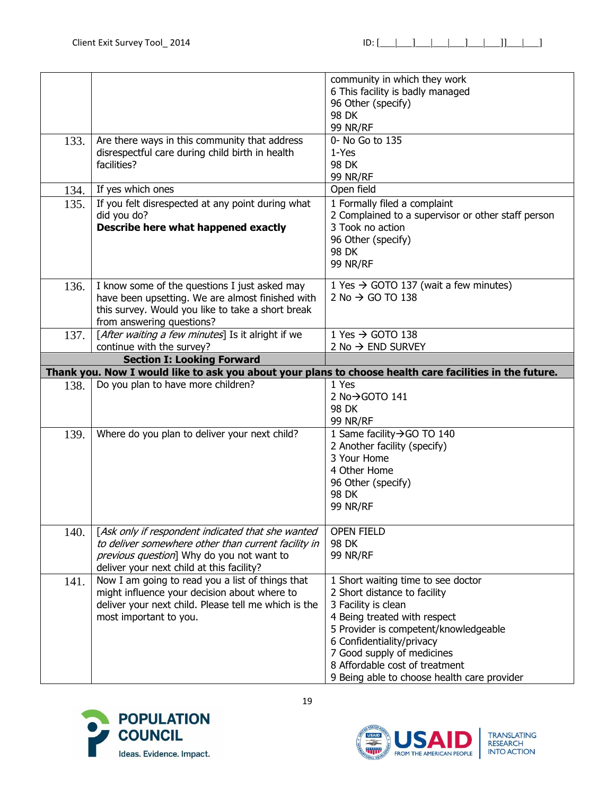| community in which they work<br>6 This facility is badly managed<br>96 Other (specify)<br>98 DK<br>99 NR/RF<br>Are there ways in this community that address<br>0- No Go to 135<br>133.<br>disrespectful care during child birth in health<br>1-Yes<br>facilities?<br>98 DK<br><b>99 NR/RF</b><br>Open field<br>If yes which ones<br>134.<br>If you felt disrespected at any point during what<br>1 Formally filed a complaint<br>135.<br>did you do?<br>2 Complained to a supervisor or other staff person<br>Describe here what happened exactly<br>3 Took no action<br>96 Other (specify)<br>98 DK<br><b>99 NR/RF</b><br>I know some of the questions I just asked may<br>1 Yes $\rightarrow$ GOTO 137 (wait a few minutes)<br>136.<br>have been upsetting. We are almost finished with<br>2 No $\rightarrow$ GO TO 138<br>this survey. Would you like to take a short break<br>from answering questions?<br>1 Yes $\rightarrow$ GOTO 138<br>[After waiting a few minutes] Is it alright if we<br>137. |
|-----------------------------------------------------------------------------------------------------------------------------------------------------------------------------------------------------------------------------------------------------------------------------------------------------------------------------------------------------------------------------------------------------------------------------------------------------------------------------------------------------------------------------------------------------------------------------------------------------------------------------------------------------------------------------------------------------------------------------------------------------------------------------------------------------------------------------------------------------------------------------------------------------------------------------------------------------------------------------------------------------------|
|                                                                                                                                                                                                                                                                                                                                                                                                                                                                                                                                                                                                                                                                                                                                                                                                                                                                                                                                                                                                           |
|                                                                                                                                                                                                                                                                                                                                                                                                                                                                                                                                                                                                                                                                                                                                                                                                                                                                                                                                                                                                           |
|                                                                                                                                                                                                                                                                                                                                                                                                                                                                                                                                                                                                                                                                                                                                                                                                                                                                                                                                                                                                           |
|                                                                                                                                                                                                                                                                                                                                                                                                                                                                                                                                                                                                                                                                                                                                                                                                                                                                                                                                                                                                           |
|                                                                                                                                                                                                                                                                                                                                                                                                                                                                                                                                                                                                                                                                                                                                                                                                                                                                                                                                                                                                           |
|                                                                                                                                                                                                                                                                                                                                                                                                                                                                                                                                                                                                                                                                                                                                                                                                                                                                                                                                                                                                           |
|                                                                                                                                                                                                                                                                                                                                                                                                                                                                                                                                                                                                                                                                                                                                                                                                                                                                                                                                                                                                           |
|                                                                                                                                                                                                                                                                                                                                                                                                                                                                                                                                                                                                                                                                                                                                                                                                                                                                                                                                                                                                           |
|                                                                                                                                                                                                                                                                                                                                                                                                                                                                                                                                                                                                                                                                                                                                                                                                                                                                                                                                                                                                           |
|                                                                                                                                                                                                                                                                                                                                                                                                                                                                                                                                                                                                                                                                                                                                                                                                                                                                                                                                                                                                           |
|                                                                                                                                                                                                                                                                                                                                                                                                                                                                                                                                                                                                                                                                                                                                                                                                                                                                                                                                                                                                           |
|                                                                                                                                                                                                                                                                                                                                                                                                                                                                                                                                                                                                                                                                                                                                                                                                                                                                                                                                                                                                           |
|                                                                                                                                                                                                                                                                                                                                                                                                                                                                                                                                                                                                                                                                                                                                                                                                                                                                                                                                                                                                           |
|                                                                                                                                                                                                                                                                                                                                                                                                                                                                                                                                                                                                                                                                                                                                                                                                                                                                                                                                                                                                           |
|                                                                                                                                                                                                                                                                                                                                                                                                                                                                                                                                                                                                                                                                                                                                                                                                                                                                                                                                                                                                           |
|                                                                                                                                                                                                                                                                                                                                                                                                                                                                                                                                                                                                                                                                                                                                                                                                                                                                                                                                                                                                           |
|                                                                                                                                                                                                                                                                                                                                                                                                                                                                                                                                                                                                                                                                                                                                                                                                                                                                                                                                                                                                           |
|                                                                                                                                                                                                                                                                                                                                                                                                                                                                                                                                                                                                                                                                                                                                                                                                                                                                                                                                                                                                           |
|                                                                                                                                                                                                                                                                                                                                                                                                                                                                                                                                                                                                                                                                                                                                                                                                                                                                                                                                                                                                           |
|                                                                                                                                                                                                                                                                                                                                                                                                                                                                                                                                                                                                                                                                                                                                                                                                                                                                                                                                                                                                           |
|                                                                                                                                                                                                                                                                                                                                                                                                                                                                                                                                                                                                                                                                                                                                                                                                                                                                                                                                                                                                           |
| continue with the survey?<br>2 No $\rightarrow$ END SURVEY                                                                                                                                                                                                                                                                                                                                                                                                                                                                                                                                                                                                                                                                                                                                                                                                                                                                                                                                                |
| <b>Section I: Looking Forward</b>                                                                                                                                                                                                                                                                                                                                                                                                                                                                                                                                                                                                                                                                                                                                                                                                                                                                                                                                                                         |
| Thank you. Now I would like to ask you about your plans to choose health care facilities in the future.                                                                                                                                                                                                                                                                                                                                                                                                                                                                                                                                                                                                                                                                                                                                                                                                                                                                                                   |
| Do you plan to have more children?<br>1 Yes<br>138.                                                                                                                                                                                                                                                                                                                                                                                                                                                                                                                                                                                                                                                                                                                                                                                                                                                                                                                                                       |
| 2 No→GOTO 141                                                                                                                                                                                                                                                                                                                                                                                                                                                                                                                                                                                                                                                                                                                                                                                                                                                                                                                                                                                             |
| 98 DK                                                                                                                                                                                                                                                                                                                                                                                                                                                                                                                                                                                                                                                                                                                                                                                                                                                                                                                                                                                                     |
| 99 NR/RF                                                                                                                                                                                                                                                                                                                                                                                                                                                                                                                                                                                                                                                                                                                                                                                                                                                                                                                                                                                                  |
| 1 Same facility → GO TO 140<br>Where do you plan to deliver your next child?<br>139.                                                                                                                                                                                                                                                                                                                                                                                                                                                                                                                                                                                                                                                                                                                                                                                                                                                                                                                      |
| 2 Another facility (specify)                                                                                                                                                                                                                                                                                                                                                                                                                                                                                                                                                                                                                                                                                                                                                                                                                                                                                                                                                                              |
| 3 Your Home                                                                                                                                                                                                                                                                                                                                                                                                                                                                                                                                                                                                                                                                                                                                                                                                                                                                                                                                                                                               |
| 4 Other Home                                                                                                                                                                                                                                                                                                                                                                                                                                                                                                                                                                                                                                                                                                                                                                                                                                                                                                                                                                                              |
| 96 Other (specify)                                                                                                                                                                                                                                                                                                                                                                                                                                                                                                                                                                                                                                                                                                                                                                                                                                                                                                                                                                                        |
| 98 DK                                                                                                                                                                                                                                                                                                                                                                                                                                                                                                                                                                                                                                                                                                                                                                                                                                                                                                                                                                                                     |
| <b>99 NR/RF</b>                                                                                                                                                                                                                                                                                                                                                                                                                                                                                                                                                                                                                                                                                                                                                                                                                                                                                                                                                                                           |
|                                                                                                                                                                                                                                                                                                                                                                                                                                                                                                                                                                                                                                                                                                                                                                                                                                                                                                                                                                                                           |
| [Ask only if respondent indicated that she wanted<br><b>OPEN FIELD</b><br>140.                                                                                                                                                                                                                                                                                                                                                                                                                                                                                                                                                                                                                                                                                                                                                                                                                                                                                                                            |
| to deliver somewhere other than current facility in<br>98 DK                                                                                                                                                                                                                                                                                                                                                                                                                                                                                                                                                                                                                                                                                                                                                                                                                                                                                                                                              |
| previous question] Why do you not want to<br><b>99 NR/RF</b>                                                                                                                                                                                                                                                                                                                                                                                                                                                                                                                                                                                                                                                                                                                                                                                                                                                                                                                                              |
| deliver your next child at this facility?                                                                                                                                                                                                                                                                                                                                                                                                                                                                                                                                                                                                                                                                                                                                                                                                                                                                                                                                                                 |
| Now I am going to read you a list of things that<br>1 Short waiting time to see doctor<br>141.                                                                                                                                                                                                                                                                                                                                                                                                                                                                                                                                                                                                                                                                                                                                                                                                                                                                                                            |
| might influence your decision about where to<br>2 Short distance to facility                                                                                                                                                                                                                                                                                                                                                                                                                                                                                                                                                                                                                                                                                                                                                                                                                                                                                                                              |
| deliver your next child. Please tell me which is the<br>3 Facility is clean                                                                                                                                                                                                                                                                                                                                                                                                                                                                                                                                                                                                                                                                                                                                                                                                                                                                                                                               |
| most important to you.<br>4 Being treated with respect                                                                                                                                                                                                                                                                                                                                                                                                                                                                                                                                                                                                                                                                                                                                                                                                                                                                                                                                                    |
| 5 Provider is competent/knowledgeable                                                                                                                                                                                                                                                                                                                                                                                                                                                                                                                                                                                                                                                                                                                                                                                                                                                                                                                                                                     |
| 6 Confidentiality/privacy                                                                                                                                                                                                                                                                                                                                                                                                                                                                                                                                                                                                                                                                                                                                                                                                                                                                                                                                                                                 |
| 7 Good supply of medicines                                                                                                                                                                                                                                                                                                                                                                                                                                                                                                                                                                                                                                                                                                                                                                                                                                                                                                                                                                                |
| 8 Affordable cost of treatment                                                                                                                                                                                                                                                                                                                                                                                                                                                                                                                                                                                                                                                                                                                                                                                                                                                                                                                                                                            |
|                                                                                                                                                                                                                                                                                                                                                                                                                                                                                                                                                                                                                                                                                                                                                                                                                                                                                                                                                                                                           |

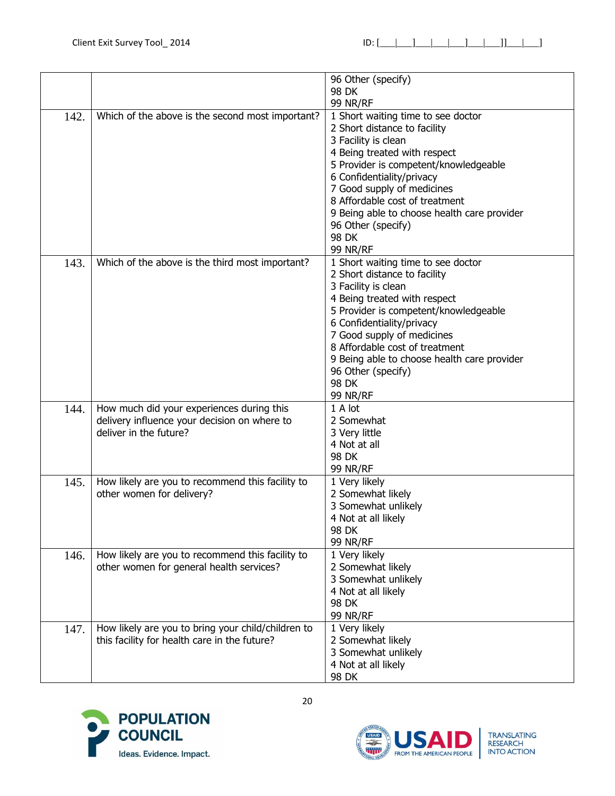|      |                                                    | 96 Other (specify)                          |
|------|----------------------------------------------------|---------------------------------------------|
|      |                                                    | 98 DK                                       |
|      |                                                    | <b>99 NR/RF</b>                             |
| 142. | Which of the above is the second most important?   | 1 Short waiting time to see doctor          |
|      |                                                    | 2 Short distance to facility                |
|      |                                                    | 3 Facility is clean                         |
|      |                                                    | 4 Being treated with respect                |
|      |                                                    | 5 Provider is competent/knowledgeable       |
|      |                                                    | 6 Confidentiality/privacy                   |
|      |                                                    | 7 Good supply of medicines                  |
|      |                                                    | 8 Affordable cost of treatment              |
|      |                                                    |                                             |
|      |                                                    | 9 Being able to choose health care provider |
|      |                                                    | 96 Other (specify)                          |
|      |                                                    | 98 DK                                       |
|      |                                                    | <b>99 NR/RF</b>                             |
| 143. | Which of the above is the third most important?    | 1 Short waiting time to see doctor          |
|      |                                                    | 2 Short distance to facility                |
|      |                                                    | 3 Facility is clean                         |
|      |                                                    | 4 Being treated with respect                |
|      |                                                    | 5 Provider is competent/knowledgeable       |
|      |                                                    | 6 Confidentiality/privacy                   |
|      |                                                    | 7 Good supply of medicines                  |
|      |                                                    | 8 Affordable cost of treatment              |
|      |                                                    | 9 Being able to choose health care provider |
|      |                                                    | 96 Other (specify)                          |
|      |                                                    | 98 DK                                       |
|      |                                                    | <b>99 NR/RF</b>                             |
| 144. | How much did your experiences during this          | 1 A lot                                     |
|      | delivery influence your decision on where to       | 2 Somewhat                                  |
|      | deliver in the future?                             | 3 Very little                               |
|      |                                                    | 4 Not at all                                |
|      |                                                    | 98 DK                                       |
|      |                                                    | <b>99 NR/RF</b>                             |
| 145. | How likely are you to recommend this facility to   | 1 Very likely                               |
|      | other women for delivery?                          | 2 Somewhat likely                           |
|      |                                                    | 3 Somewhat unlikely                         |
|      |                                                    | 4 Not at all likely                         |
|      |                                                    | <b>98 DK</b>                                |
|      |                                                    | <b>99 NR/RF</b>                             |
| 146. | How likely are you to recommend this facility to   | 1 Very likely                               |
|      | other women for general health services?           | 2 Somewhat likely                           |
|      |                                                    | 3 Somewhat unlikely                         |
|      |                                                    | 4 Not at all likely                         |
|      |                                                    | 98 DK                                       |
|      |                                                    | <b>99 NR/RF</b>                             |
| 147. | How likely are you to bring your child/children to | 1 Very likely                               |
|      | this facility for health care in the future?       | 2 Somewhat likely                           |
|      |                                                    | 3 Somewhat unlikely                         |
|      |                                                    | 4 Not at all likely                         |
|      |                                                    | 98 DK                                       |



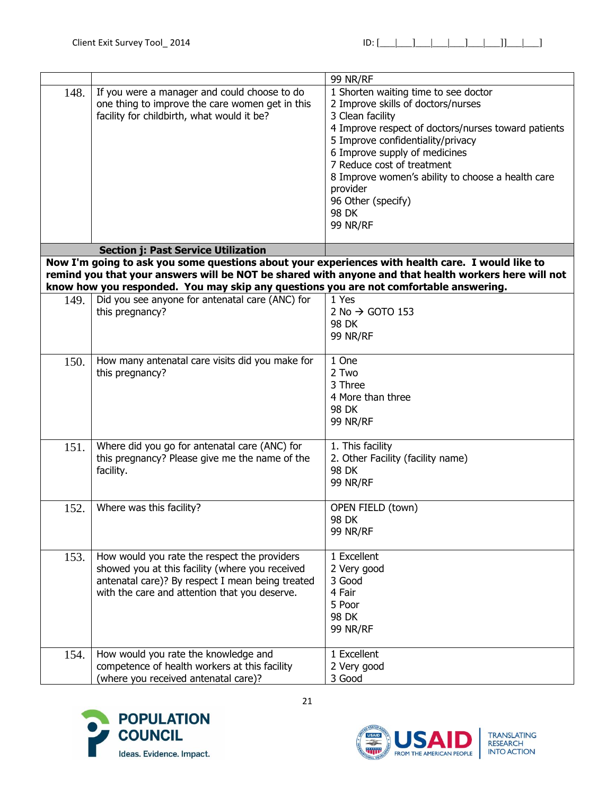|      |                                                                                                                                                                                                      | <b>99 NR/RF</b>                                                                                                                                                                                                                                                                                                                                                              |
|------|------------------------------------------------------------------------------------------------------------------------------------------------------------------------------------------------------|------------------------------------------------------------------------------------------------------------------------------------------------------------------------------------------------------------------------------------------------------------------------------------------------------------------------------------------------------------------------------|
| 148. | If you were a manager and could choose to do<br>one thing to improve the care women get in this<br>facility for childbirth, what would it be?                                                        | 1 Shorten waiting time to see doctor<br>2 Improve skills of doctors/nurses<br>3 Clean facility<br>4 Improve respect of doctors/nurses toward patients<br>5 Improve confidentiality/privacy<br>6 Improve supply of medicines<br>7 Reduce cost of treatment<br>8 Improve women's ability to choose a health care<br>provider<br>96 Other (specify)<br>98 DK<br><b>99 NR/RF</b> |
|      | <b>Section j: Past Service Utilization</b>                                                                                                                                                           |                                                                                                                                                                                                                                                                                                                                                                              |
|      | Now I'm going to ask you some questions about your experiences with health care. I would like to<br>know how you responded. You may skip any questions you are not comfortable answering.            | remind you that your answers will be NOT be shared with anyone and that health workers here will not                                                                                                                                                                                                                                                                         |
| 149. | Did you see anyone for antenatal care (ANC) for<br>this pregnancy?                                                                                                                                   | 1 Yes<br>2 No $\rightarrow$ GOTO 153<br>98 DK<br><b>99 NR/RF</b>                                                                                                                                                                                                                                                                                                             |
| 150. | How many antenatal care visits did you make for<br>this pregnancy?                                                                                                                                   | 1 One<br>2 Two<br>3 Three<br>4 More than three<br>98 DK<br><b>99 NR/RF</b>                                                                                                                                                                                                                                                                                                   |
| 151. | Where did you go for antenatal care (ANC) for<br>this pregnancy? Please give me the name of the<br>facility.                                                                                         | 1. This facility<br>2. Other Facility (facility name)<br>98 DK<br><b>99 NR/RF</b>                                                                                                                                                                                                                                                                                            |
| 152. | Where was this facility?                                                                                                                                                                             | OPEN FIELD (town)<br>98 DK<br><b>99 NR/RF</b>                                                                                                                                                                                                                                                                                                                                |
| 153. | How would you rate the respect the providers<br>showed you at this facility (where you received<br>antenatal care)? By respect I mean being treated<br>with the care and attention that you deserve. | 1 Excellent<br>2 Very good<br>3 Good<br>4 Fair<br>5 Poor<br>98 DK<br><b>99 NR/RF</b>                                                                                                                                                                                                                                                                                         |
| 154. | How would you rate the knowledge and<br>competence of health workers at this facility<br>(where you received antenatal care)?                                                                        | 1 Excellent<br>2 Very good<br>3 Good                                                                                                                                                                                                                                                                                                                                         |

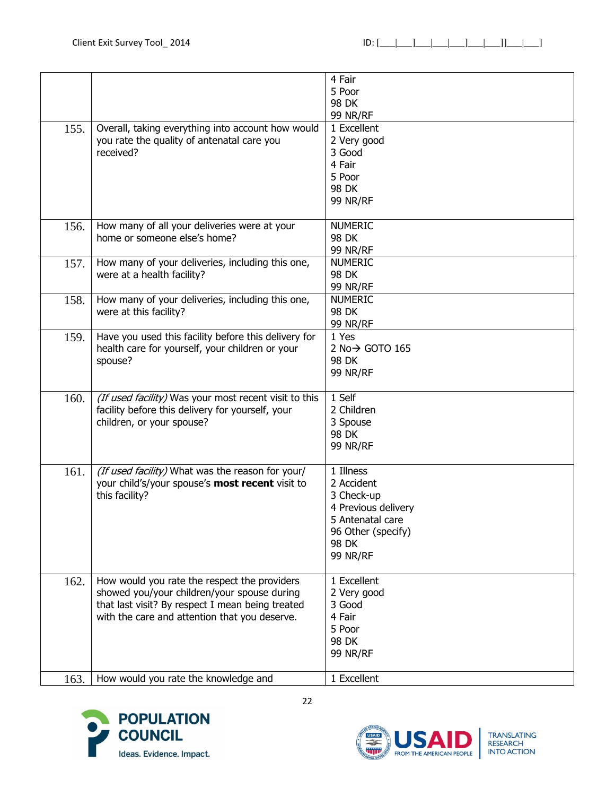|      |                                                       | 4 Fair<br>5 Poor            |
|------|-------------------------------------------------------|-----------------------------|
|      |                                                       | 98 DK                       |
|      |                                                       | 99 NR/RF                    |
| 155. | Overall, taking everything into account how would     | 1 Excellent                 |
|      | you rate the quality of antenatal care you            | 2 Very good                 |
|      | received?                                             | 3 Good                      |
|      |                                                       | 4 Fair                      |
|      |                                                       | 5 Poor                      |
|      |                                                       | 98 DK                       |
|      |                                                       | <b>99 NR/RF</b>             |
|      |                                                       |                             |
| 156. | How many of all your deliveries were at your          | <b>NUMERIC</b>              |
|      | home or someone else's home?                          | 98 DK                       |
|      |                                                       | 99 NR/RF                    |
| 157. | How many of your deliveries, including this one,      | <b>NUMERIC</b>              |
|      | were at a health facility?                            | 98 DK                       |
|      |                                                       | <b>99 NR/RF</b>             |
| 158. | How many of your deliveries, including this one,      | <b>NUMERIC</b>              |
|      | were at this facility?                                | 98 DK                       |
|      |                                                       | <b>99 NR/RF</b>             |
| 159. | Have you used this facility before this delivery for  | 1 Yes                       |
|      | health care for yourself, your children or your       | 2 No $\rightarrow$ GOTO 165 |
|      | spouse?                                               | 98 DK                       |
|      |                                                       | 99 NR/RF                    |
|      |                                                       |                             |
| 160. | (If used facility) Was your most recent visit to this | 1 Self                      |
|      | facility before this delivery for yourself, your      | 2 Children                  |
|      | children, or your spouse?                             | 3 Spouse                    |
|      |                                                       | 98 DK                       |
|      |                                                       | <b>99 NR/RF</b>             |
|      |                                                       |                             |
| 161. | (If used facility) What was the reason for your/      | 1 Illness                   |
|      | your child's/your spouse's most recent visit to       | 2 Accident                  |
|      | this facility?                                        | 3 Check-up                  |
|      |                                                       | 4 Previous delivery         |
|      |                                                       | 5 Antenatal care            |
|      |                                                       | 96 Other (specify)          |
|      |                                                       | 98 DK                       |
|      |                                                       | <b>99 NR/RF</b>             |
| 162. | How would you rate the respect the providers          | 1 Excellent                 |
|      | showed you/your children/your spouse during           | 2 Very good                 |
|      | that last visit? By respect I mean being treated      | 3 Good                      |
|      | with the care and attention that you deserve.         | 4 Fair                      |
|      |                                                       | 5 Poor                      |
|      |                                                       | <b>98 DK</b>                |
|      |                                                       | <b>99 NR/RF</b>             |
|      |                                                       |                             |
| 163. | How would you rate the knowledge and                  | 1 Excellent                 |